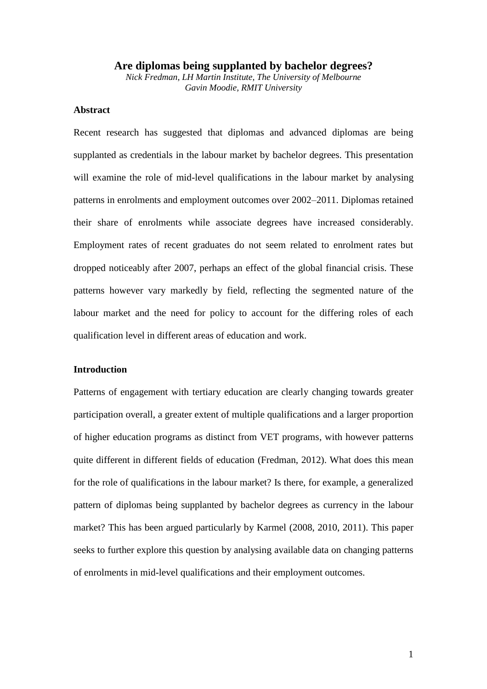## **Are diplomas being supplanted by bachelor degrees?**

*Nick Fredman, LH Martin Institute, The University of Melbourne Gavin Moodie, RMIT University*

## **Abstract**

Recent research has suggested that diplomas and advanced diplomas are being supplanted as credentials in the labour market by bachelor degrees. This presentation will examine the role of mid-level qualifications in the labour market by analysing patterns in enrolments and employment outcomes over 2002–2011. Diplomas retained their share of enrolments while associate degrees have increased considerably. Employment rates of recent graduates do not seem related to enrolment rates but dropped noticeably after 2007, perhaps an effect of the global financial crisis. These patterns however vary markedly by field, reflecting the segmented nature of the labour market and the need for policy to account for the differing roles of each qualification level in different areas of education and work.

## **Introduction**

Patterns of engagement with tertiary education are clearly changing towards greater participation overall, a greater extent of multiple qualifications and a larger proportion of higher education programs as distinct from VET programs, with however patterns quite different in different fields of education (Fredman, 2012). What does this mean for the role of qualifications in the labour market? Is there, for example, a generalized pattern of diplomas being supplanted by bachelor degrees as currency in the labour market? This has been argued particularly by Karmel (2008, 2010, 2011). This paper seeks to further explore this question by analysing available data on changing patterns of enrolments in mid-level qualifications and their employment outcomes.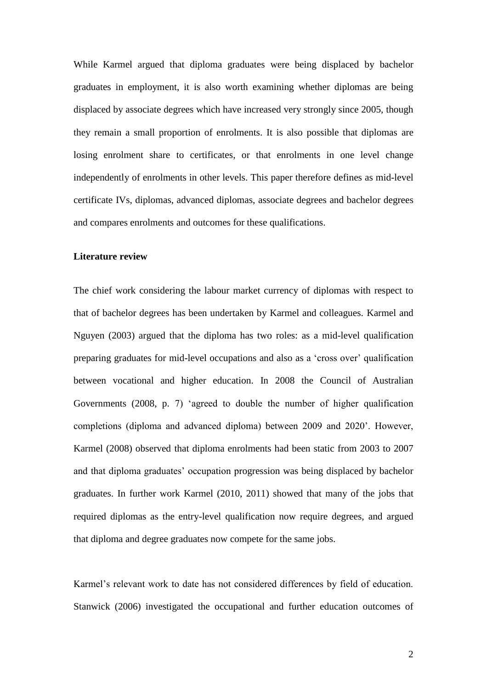While Karmel argued that diploma graduates were being displaced by bachelor graduates in employment, it is also worth examining whether diplomas are being displaced by associate degrees which have increased very strongly since 2005, though they remain a small proportion of enrolments. It is also possible that diplomas are losing enrolment share to certificates, or that enrolments in one level change independently of enrolments in other levels. This paper therefore defines as mid-level certificate IVs, diplomas, advanced diplomas, associate degrees and bachelor degrees and compares enrolments and outcomes for these qualifications.

## **Literature review**

The chief work considering the labour market currency of diplomas with respect to that of bachelor degrees has been undertaken by Karmel and colleagues. Karmel and Nguyen (2003) argued that the diploma has two roles: as a mid-level qualification preparing graduates for mid-level occupations and also as a 'cross over' qualification between vocational and higher education. In 2008 the Council of Australian Governments (2008, p. 7) 'agreed to double the number of higher qualification completions (diploma and advanced diploma) between 2009 and 2020'. However, Karmel (2008) observed that diploma enrolments had been static from 2003 to 2007 and that diploma graduates' occupation progression was being displaced by bachelor graduates. In further work Karmel (2010, 2011) showed that many of the jobs that required diplomas as the entry-level qualification now require degrees, and argued that diploma and degree graduates now compete for the same jobs.

Karmel's relevant work to date has not considered differences by field of education. Stanwick (2006) investigated the occupational and further education outcomes of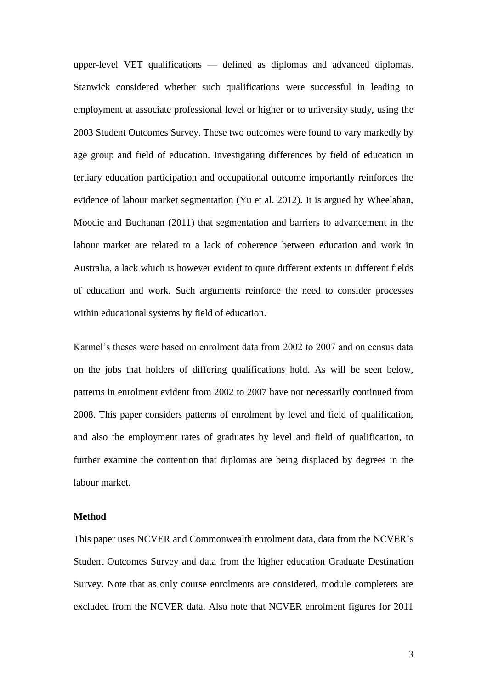upper-level VET qualifications — defined as diplomas and advanced diplomas. Stanwick considered whether such qualifications were successful in leading to employment at associate professional level or higher or to university study, using the 2003 Student Outcomes Survey. These two outcomes were found to vary markedly by age group and field of education. Investigating differences by field of education in tertiary education participation and occupational outcome importantly reinforces the evidence of labour market segmentation (Yu et al. 2012). It is argued by Wheelahan, Moodie and Buchanan (2011) that segmentation and barriers to advancement in the labour market are related to a lack of coherence between education and work in Australia, a lack which is however evident to quite different extents in different fields of education and work. Such arguments reinforce the need to consider processes within educational systems by field of education.

Karmel's theses were based on enrolment data from 2002 to 2007 and on census data on the jobs that holders of differing qualifications hold. As will be seen below, patterns in enrolment evident from 2002 to 2007 have not necessarily continued from 2008. This paper considers patterns of enrolment by level and field of qualification, and also the employment rates of graduates by level and field of qualification, to further examine the contention that diplomas are being displaced by degrees in the labour market.

#### **Method**

This paper uses NCVER and Commonwealth enrolment data, data from the NCVER's Student Outcomes Survey and data from the higher education Graduate Destination Survey. Note that as only course enrolments are considered, module completers are excluded from the NCVER data. Also note that NCVER enrolment figures for 2011

3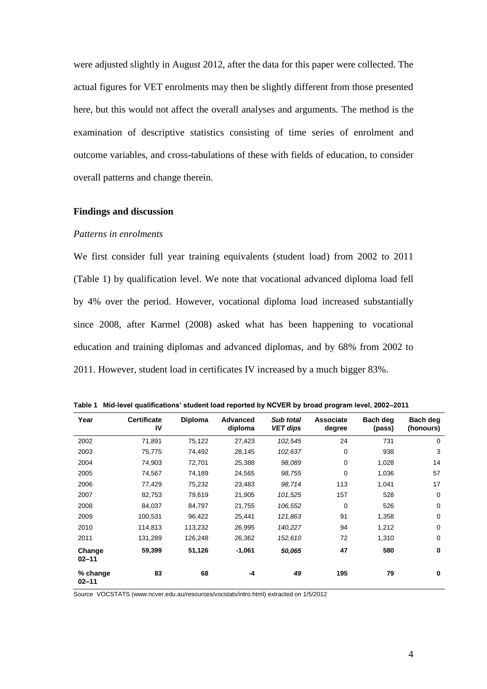were adjusted slightly in August 2012, after the data for this paper were collected. The actual figures for VET enrolments may then be slightly different from those presented here, but this would not affect the overall analyses and arguments. The method is the examination of descriptive statistics consisting of time series of enrolment and outcome variables, and cross-tabulations of these with fields of education, to consider overall patterns and change therein.

#### **Findings and discussion**

## *Patterns in enrolments*

We first consider full year training equivalents (student load) from 2002 to 2011 (Table 1) by qualification level. We note that vocational advanced diploma load fell by 4% over the period. However, vocational diploma load increased substantially since 2008, after Karmel (2008) asked what has been happening to vocational education and training diplomas and advanced diplomas, and by 68% from 2002 to 2011. However, student load in certificates IV increased by a much bigger 83%.

| Year                  | <b>Certificate</b><br>IV | <b>Diploma</b> | Advanced<br>diploma | Sub total<br><b>VET dips</b> | <b>Associate</b><br>degree | Bach deg<br>(pass) | Bach deg<br>(honours) |
|-----------------------|--------------------------|----------------|---------------------|------------------------------|----------------------------|--------------------|-----------------------|
| 2002                  | 71,891                   | 75,122         | 27,423              | 102,545                      | 24                         | 731                | $\mathbf 0$           |
| 2003                  | 75,775                   | 74,492         | 28,145              | 102,637                      | 0                          | 938                | 3                     |
| 2004                  | 74,903                   | 72,701         | 25,388              | 98,089                       | 0                          | 1,028              | 14                    |
| 2005                  | 74,567                   | 74,189         | 24,565              | 98,755                       | 0                          | 1,036              | 57                    |
| 2006                  | 77,429                   | 75,232         | 23,483              | 98,714                       | 113                        | 1,041              | 17                    |
| 2007                  | 82,753                   | 79,619         | 21,905              | 101,525                      | 157                        | 528                | $\mathbf 0$           |
| 2008                  | 84,037                   | 84,797         | 21,755              | 106,552                      | 0                          | 526                | $\mathbf 0$           |
| 2009                  | 100,531                  | 96,422         | 25,441              | 121,863                      | 91                         | 1,358              | $\mathbf 0$           |
| 2010                  | 114,813                  | 113,232        | 26,995              | 140,227                      | 94                         | 1,212              | $\mathbf 0$           |
| 2011                  | 131,289                  | 126,248        | 26,362              | 152,610                      | 72                         | 1,310              | $\mathbf 0$           |
| Change<br>$02 - 11$   | 59,399                   | 51,126         | $-1,061$            | 50,065                       | 47                         | 580                | $\mathbf 0$           |
| % change<br>$02 - 11$ | 83                       | 68             | -4                  | 49                           | 195                        | 79                 | $\mathbf 0$           |

**Table 1 Mid-level qualifications' student load reported by NCVER by broad program level, 2002–2011**

Source VOCSTATS [\(www.ncver.edu.au/resources/vocstats/intro.html\)](http://www.ncver.edu.au/resources/vocstats/intro.html) extracted on 1/5/2012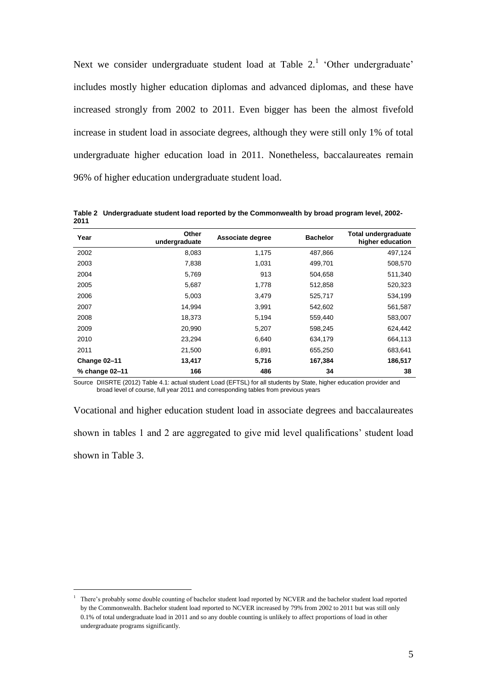Next we consider undergraduate student load at Table  $2<sup>1</sup>$  'Other undergraduate' includes mostly higher education diplomas and advanced diplomas, and these have increased strongly from 2002 to 2011. Even bigger has been the almost fivefold increase in student load in associate degrees, although they were still only 1% of total undergraduate higher education load in 2011. Nonetheless, baccalaureates remain 96% of higher education undergraduate student load.

**Table 2 Undergraduate student load reported by the Commonwealth by broad program level, 2002- 2011**

| Year           | Other<br>undergraduate | Associate degree | <b>Bachelor</b> | <b>Total undergraduate</b><br>higher education |
|----------------|------------------------|------------------|-----------------|------------------------------------------------|
| 2002           | 8,083                  | 1,175            | 487,866         | 497,124                                        |
| 2003           | 7,838                  | 1,031            | 499,701         | 508,570                                        |
| 2004           | 5,769                  | 913              | 504,658         | 511,340                                        |
| 2005           | 5,687                  | 1,778            | 512,858         | 520,323                                        |
| 2006           | 5,003                  | 3.479            | 525,717         | 534,199                                        |
| 2007           | 14.994                 | 3,991            | 542,602         | 561,587                                        |
| 2008           | 18,373                 | 5,194            | 559,440         | 583,007                                        |
| 2009           | 20,990                 | 5,207            | 598,245         | 624,442                                        |
| 2010           | 23,294                 | 6,640            | 634,179         | 664,113                                        |
| 2011           | 21,500                 | 6,891            | 655,250         | 683,641                                        |
| Change 02-11   | 13,417                 | 5,716            | 167,384         | 186,517                                        |
| % change 02-11 | 166                    | 486              | 34              | 38                                             |

Source DIISRTE (2012) Table 4.1: actual student Load (EFTSL) for all students by State, higher education provider and broad level of course, full year 2011 and corresponding tables from previous years

Vocational and higher education student load in associate degrees and baccalaureates shown in tables 1 and 2 are aggregated to give mid level qualifications' student load shown in Table 3.

 $\overline{a}$ 

<sup>&</sup>lt;sup>1</sup> There's probably some double counting of bachelor student load reported by NCVER and the bachelor student load reported by the Commonwealth. Bachelor student load reported to NCVER increased by 79% from 2002 to 2011 but was still only 0.1% of total undergraduate load in 2011 and so any double counting is unlikely to affect proportions of load in other undergraduate programs significantly.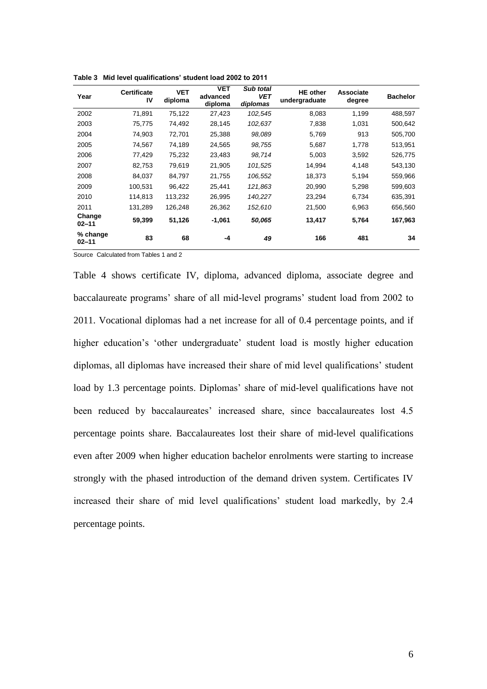| Year                  | <b>Certificate</b><br>IV | <b>VET</b><br>diploma | <b>VET</b><br>advanced<br>diploma | Sub total<br><b>VET</b><br>diplomas | <b>HE</b> other<br>undergraduate | Associate<br>degree | <b>Bachelor</b> |
|-----------------------|--------------------------|-----------------------|-----------------------------------|-------------------------------------|----------------------------------|---------------------|-----------------|
| 2002                  | 71,891                   | 75,122                | 27,423                            | 102,545                             | 8,083                            | 1,199               | 488,597         |
| 2003                  | 75,775                   | 74,492                | 28,145                            | 102,637                             | 7,838                            | 1.031               | 500,642         |
| 2004                  | 74,903                   | 72,701                | 25,388                            | 98,089                              | 5,769                            | 913                 | 505,700         |
| 2005                  | 74,567                   | 74,189                | 24,565                            | 98,755                              | 5,687                            | 1.778               | 513,951         |
| 2006                  | 77,429                   | 75,232                | 23,483                            | 98.714                              | 5.003                            | 3,592               | 526,775         |
| 2007                  | 82,753                   | 79,619                | 21,905                            | 101,525                             | 14,994                           | 4,148               | 543,130         |
| 2008                  | 84,037                   | 84,797                | 21,755                            | 106,552                             | 18,373                           | 5,194               | 559,966         |
| 2009                  | 100.531                  | 96.422                | 25.441                            | 121,863                             | 20.990                           | 5.298               | 599,603         |
| 2010                  | 114,813                  | 113,232               | 26,995                            | 140,227                             | 23,294                           | 6,734               | 635,391         |
| 2011                  | 131,289                  | 126,248               | 26,362                            | 152,610                             | 21,500                           | 6,963               | 656,560         |
| Change<br>$02 - 11$   | 59,399                   | 51,126                | $-1,061$                          | 50,065                              | 13,417                           | 5,764               | 167,963         |
| % change<br>$02 - 11$ | 83                       | 68                    | -4                                | 49                                  | 166                              | 481                 | 34              |

**Table 3 Mid level qualifications' student load 2002 to 2011**

Source Calculated from Tables 1 and 2

Table 4 shows certificate IV, diploma, advanced diploma, associate degree and baccalaureate programs' share of all mid-level programs' student load from 2002 to 2011. Vocational diplomas had a net increase for all of 0.4 percentage points, and if higher education's 'other undergraduate' student load is mostly higher education diplomas, all diplomas have increased their share of mid level qualifications' student load by 1.3 percentage points. Diplomas' share of mid-level qualifications have not been reduced by baccalaureates' increased share, since baccalaureates lost 4.5 percentage points share. Baccalaureates lost their share of mid-level qualifications even after 2009 when higher education bachelor enrolments were starting to increase strongly with the phased introduction of the demand driven system. Certificates IV increased their share of mid level qualifications' student load markedly, by 2.4 percentage points.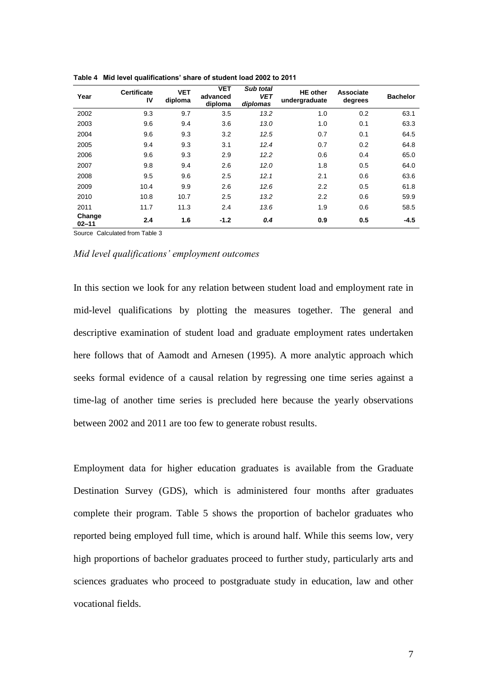| Year                | <b>Certificate</b><br>IV | <b>VET</b><br>diploma | <b>VET</b><br>advanced<br>diploma | Sub total<br><b>VET</b><br>diplomas | <b>HE</b> other<br>undergraduate | <b>Associate</b><br>degrees | <b>Bachelor</b> |
|---------------------|--------------------------|-----------------------|-----------------------------------|-------------------------------------|----------------------------------|-----------------------------|-----------------|
| 2002                | 9.3                      | 9.7                   | 3.5                               | 13.2                                | 1.0                              | 0.2                         | 63.1            |
| 2003                | 9.6                      | 9.4                   | 3.6                               | 13.0                                | 1.0                              | 0.1                         | 63.3            |
| 2004                | 9.6                      | 9.3                   | 3.2                               | 12.5                                | 0.7                              | 0.1                         | 64.5            |
| 2005                | 9.4                      | 9.3                   | 3.1                               | 12.4                                | 0.7                              | 0.2                         | 64.8            |
| 2006                | 9.6                      | 9.3                   | 2.9                               | 12.2                                | 0.6                              | 0.4                         | 65.0            |
| 2007                | 9.8                      | 9.4                   | 2.6                               | 12.0                                | 1.8                              | 0.5                         | 64.0            |
| 2008                | 9.5                      | 9.6                   | 2.5                               | 12.1                                | 2.1                              | 0.6                         | 63.6            |
| 2009                | 10.4                     | 9.9                   | 2.6                               | 12.6                                | 2.2                              | 0.5                         | 61.8            |
| 2010                | 10.8                     | 10.7                  | 2.5                               | 13.2                                | $2.2\phantom{0}$                 | 0.6                         | 59.9            |
| 2011                | 11.7                     | 11.3                  | 2.4                               | 13.6                                | 1.9                              | 0.6                         | 58.5            |
| Change<br>$02 - 11$ | 2.4                      | 1.6                   | $-1.2$                            | 0.4                                 | 0.9                              | 0.5                         | $-4.5$          |

**Table 4 Mid level qualifications' share of student load 2002 to 2011**

Source Calculated from Table 3

#### *Mid level qualifications' employment outcomes*

In this section we look for any relation between student load and employment rate in mid-level qualifications by plotting the measures together. The general and descriptive examination of student load and graduate employment rates undertaken here follows that of Aamodt and Arnesen (1995). A more analytic approach which seeks formal evidence of a causal relation by regressing one time series against a time-lag of another time series is precluded here because the yearly observations between 2002 and 2011 are too few to generate robust results.

Employment data for higher education graduates is available from the Graduate Destination Survey (GDS), which is administered four months after graduates complete their program. Table 5 shows the proportion of bachelor graduates who reported being employed full time, which is around half. While this seems low, very high proportions of bachelor graduates proceed to further study, particularly arts and sciences graduates who proceed to postgraduate study in education, law and other vocational fields.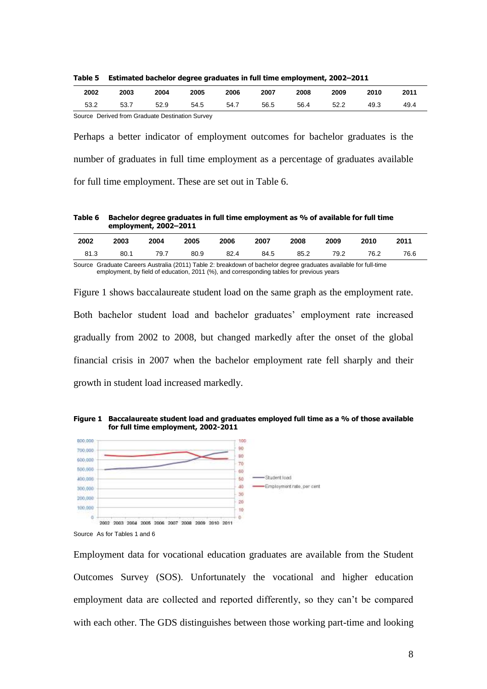**Table 5 Estimated bachelor degree graduates in full time employment, 2002–2011**

| 2002                                               | 2003 | 2004 | 2005 | 2006 | 2007 | 2008 | 2009 | 2010 | 2011 |
|----------------------------------------------------|------|------|------|------|------|------|------|------|------|
| 53.2                                               | 53.7 | 52.9 | 54.5 | 54.7 | 56.5 | 56.4 | 52.2 | 49.3 | 49.4 |
| Course, Darling Heart Craduate Deathantics Current |      |      |      |      |      |      |      |      |      |

Source Derived from Graduate Destination Survey

Perhaps a better indicator of employment outcomes for bachelor graduates is the number of graduates in full time employment as a percentage of graduates available for full time employment. These are set out in Table 6.

**Table 6 Bachelor degree graduates in full time employment as % of available for full time employment, 2002–2011**

| 2002 | 2003 | 2004 | 2005 | 2006 | 2007 | 2008 | 2009 | 2010 | 2011 |
|------|------|------|------|------|------|------|------|------|------|
| 81.3 | 80.1 | 79.7 | 80.9 | 82.4 | 84.5 | 85.2 | 79.2 | 76.2 | 76.6 |

Source Graduate Careers Australia (2011) Table 2: breakdown of bachelor degree graduates available for full-time employment, by field of education, 2011 (%), and corresponding tables for previous years

Figure 1 shows baccalaureate student load on the same graph as the employment rate. Both bachelor student load and bachelor graduates' employment rate increased gradually from 2002 to 2008, but changed markedly after the onset of the global financial crisis in 2007 when the bachelor employment rate fell sharply and their growth in student load increased markedly.

**Figure 1 Baccalaureate student load and graduates employed full time as a % of those available for full time employment, 2002-2011**



Employment data for vocational education graduates are available from the Student Outcomes Survey (SOS). Unfortunately the vocational and higher education employment data are collected and reported differently, so they can't be compared with each other. The GDS distinguishes between those working part-time and looking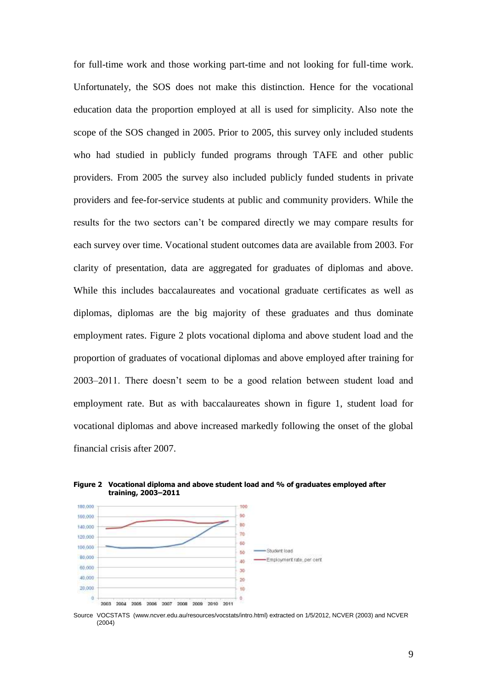for full-time work and those working part-time and not looking for full-time work. Unfortunately, the SOS does not make this distinction. Hence for the vocational education data the proportion employed at all is used for simplicity. Also note the scope of the SOS changed in 2005. Prior to 2005, this survey only included students who had studied in publicly funded programs through TAFE and other public providers. From 2005 the survey also included publicly funded students in private providers and fee-for-service students at public and community providers. While the results for the two sectors can't be compared directly we may compare results for each survey over time. Vocational student outcomes data are available from 2003. For clarity of presentation, data are aggregated for graduates of diplomas and above. While this includes baccalaureates and vocational graduate certificates as well as diplomas, diplomas are the big majority of these graduates and thus dominate employment rates. Figure 2 plots vocational diploma and above student load and the proportion of graduates of vocational diplomas and above employed after training for 2003–2011. There doesn't seem to be a good relation between student load and employment rate. But as with baccalaureates shown in figure 1, student load for vocational diplomas and above increased markedly following the onset of the global financial crisis after 2007.



**Figure 2 Vocational diploma and above student load and % of graduates employed after training, 2003–2011**

Source VOCSTATS [\(www.ncver.edu.au/resources/vocstats/intro.html\)](http://www.ncver.edu.au/resources/vocstats/intro.html) extracted on 1/5/2012, NCVER (2003) and NCVER (2004)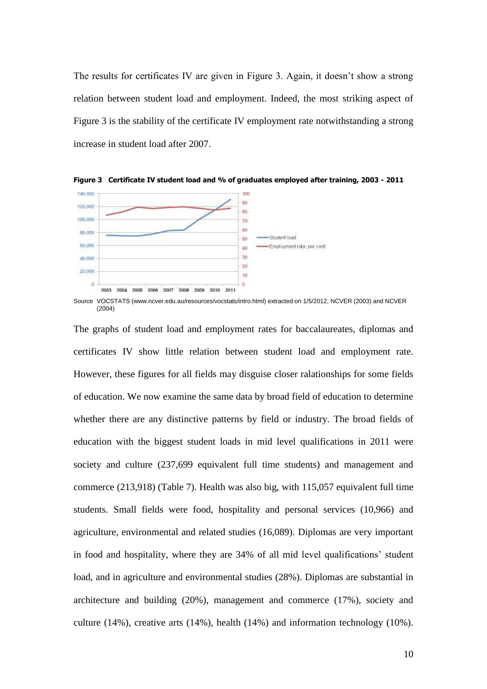The results for certificates IV are given in Figure 3. Again, it doesn't show a strong relation between student load and employment. Indeed, the most striking aspect of Figure 3 is the stability of the certificate IV employment rate notwithstanding a strong increase in student load after 2007.





Source VOCSTATS [\(www.ncver.edu.au/resources/vocstats/intro.html\)](http://www.ncver.edu.au/resources/vocstats/intro.html) extracted on 1/5/2012, NCVER (2003) and NCVER (2004)

The graphs of student load and employment rates for baccalaureates, diplomas and certificates IV show little relation between student load and employment rate. However, these figures for all fields may disguise closer ralationships for some fields of education. We now examine the same data by broad field of education to determine whether there are any distinctive patterns by field or industry. The broad fields of education with the biggest student loads in mid level qualifications in 2011 were society and culture (237,699 equivalent full time students) and management and commerce (213,918) (Table 7). Health was also big, with 115,057 equivalent full time students. Small fields were food, hospitality and personal services (10,966) and agriculture, environmental and related studies (16,089). Diplomas are very important in food and hospitality, where they are 34% of all mid level qualifications' student load, and in agriculture and environmental studies (28%). Diplomas are substantial in architecture and building (20%), management and commerce (17%), society and culture  $(14\%)$ , creative arts  $(14\%)$ , health  $(14\%)$  and information technology  $(10\%)$ .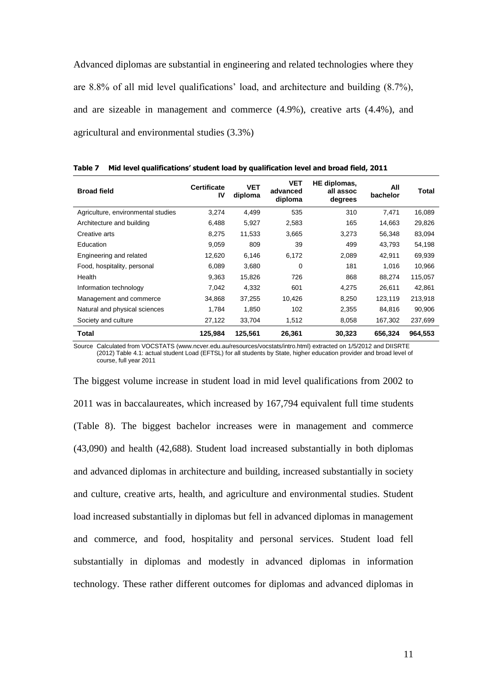Advanced diplomas are substantial in engineering and related technologies where they are 8.8% of all mid level qualifications' load, and architecture and building (8.7%), and are sizeable in management and commerce (4.9%), creative arts (4.4%), and agricultural and environmental studies (3.3%)

| <b>Broad field</b>                 | <b>Certificate</b><br>IV | VET<br>diploma | <b>VET</b><br>advanced<br>diploma | HE diplomas,<br>all assoc<br>degrees | All<br>bachelor | Total   |
|------------------------------------|--------------------------|----------------|-----------------------------------|--------------------------------------|-----------------|---------|
| Agriculture, environmental studies | 3.274                    | 4.499          | 535                               | 310                                  | 7.471           | 16,089  |
| Architecture and building          | 6,488                    | 5,927          | 2,583                             | 165                                  | 14,663          | 29,826  |
| Creative arts                      | 8,275                    | 11,533         | 3,665                             | 3,273                                | 56,348          | 83,094  |
| Education                          | 9,059                    | 809            | 39                                | 499                                  | 43,793          | 54,198  |
| Engineering and related            | 12,620                   | 6,146          | 6,172                             | 2,089                                | 42,911          | 69,939  |
| Food, hospitality, personal        | 6,089                    | 3,680          | $\mathbf 0$                       | 181                                  | 1,016           | 10,966  |
| Health                             | 9,363                    | 15,826         | 726                               | 868                                  | 88.274          | 115,057 |
| Information technology             | 7,042                    | 4,332          | 601                               | 4,275                                | 26.611          | 42,861  |
| Management and commerce            | 34,868                   | 37,255         | 10,426                            | 8,250                                | 123,119         | 213,918 |
| Natural and physical sciences      | 1,784                    | 1,850          | 102                               | 2,355                                | 84,816          | 90,906  |
| Society and culture                | 27,122                   | 33,704         | 1,512                             | 8,058                                | 167,302         | 237,699 |
| Total                              | 125,984                  | 125,561        | 26,361                            | 30,323                               | 656,324         | 964.553 |

**Table 7 Mid level qualifications' student load by qualification level and broad field, 2011**

Source Calculated from VOCSTATS [\(www.ncver.edu.au/resources/vocstats/intro.html\)](http://www.ncver.edu.au/resources/vocstats/intro.html) extracted on 1/5/2012 and DIISRTE (2012) Table 4.1: actual student Load (EFTSL) for all students by State, higher education provider and broad level of course, full year 2011

The biggest volume increase in student load in mid level qualifications from 2002 to 2011 was in baccalaureates, which increased by 167,794 equivalent full time students (Table 8). The biggest bachelor increases were in management and commerce (43,090) and health (42,688). Student load increased substantially in both diplomas and advanced diplomas in architecture and building, increased substantially in society and culture, creative arts, health, and agriculture and environmental studies. Student load increased substantially in diplomas but fell in advanced diplomas in management and commerce, and food, hospitality and personal services. Student load fell substantially in diplomas and modestly in advanced diplomas in information technology. These rather different outcomes for diplomas and advanced diplomas in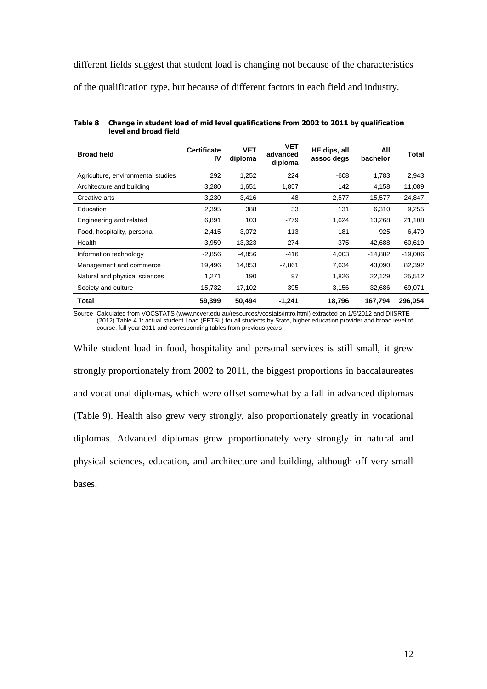different fields suggest that student load is changing not because of the characteristics

of the qualification type, but because of different factors in each field and industry.

| <b>Broad field</b>                 | <b>Certificate</b><br>IV | <b>VET</b><br>diploma | <b>VET</b><br>advanced<br>diploma | HE dips, all<br>assoc degs | All<br>bachelor | Total     |
|------------------------------------|--------------------------|-----------------------|-----------------------------------|----------------------------|-----------------|-----------|
| Agriculture, environmental studies | 292                      | 1,252                 | 224                               | $-608$                     | 1,783           | 2,943     |
| Architecture and building          | 3,280                    | 1,651                 | 1,857                             | 142                        | 4,158           | 11,089    |
| Creative arts                      | 3,230                    | 3,416                 | 48                                | 2,577                      | 15,577          | 24,847    |
| Education                          | 2,395                    | 388                   | 33                                | 131                        | 6,310           | 9,255     |
| Engineering and related            | 6,891                    | 103                   | -779                              | 1,624                      | 13,268          | 21,108    |
| Food, hospitality, personal        | 2,415                    | 3,072                 | $-113$                            | 181                        | 925             | 6,479     |
| Health                             | 3,959                    | 13,323                | 274                               | 375                        | 42,688          | 60,619    |
| Information technology             | $-2,856$                 | $-4,856$              | -416                              | 4,003                      | $-14,882$       | $-19,006$ |
| Management and commerce            | 19,496                   | 14,853                | $-2,861$                          | 7,634                      | 43,090          | 82,392    |
| Natural and physical sciences      | 1,271                    | 190                   | 97                                | 1,826                      | 22,129          | 25,512    |
| Society and culture                | 15,732                   | 17,102                | 395                               | 3,156                      | 32,686          | 69,071    |
| <b>Total</b>                       | 59,399                   | 50,494                | -1,241                            | 18,796                     | 167,794         | 296,054   |

**Table 8 Change in student load of mid level qualifications from 2002 to 2011 by qualification level and broad field**

Source Calculated from VOCSTATS [\(www.ncver.edu.au/resources/vocstats/intro.html\)](http://www.ncver.edu.au/resources/vocstats/intro.html) extracted on 1/5/2012 and DIISRTE (2012) Table 4.1: actual student Load (EFTSL) for all students by State, higher education provider and broad level of course, full year 2011 and corresponding tables from previous years

While student load in food, hospitality and personal services is still small, it grew strongly proportionately from 2002 to 2011, the biggest proportions in baccalaureates and vocational diplomas, which were offset somewhat by a fall in advanced diplomas (Table 9). Health also grew very strongly, also proportionately greatly in vocational diplomas. Advanced diplomas grew proportionately very strongly in natural and physical sciences, education, and architecture and building, although off very small bases.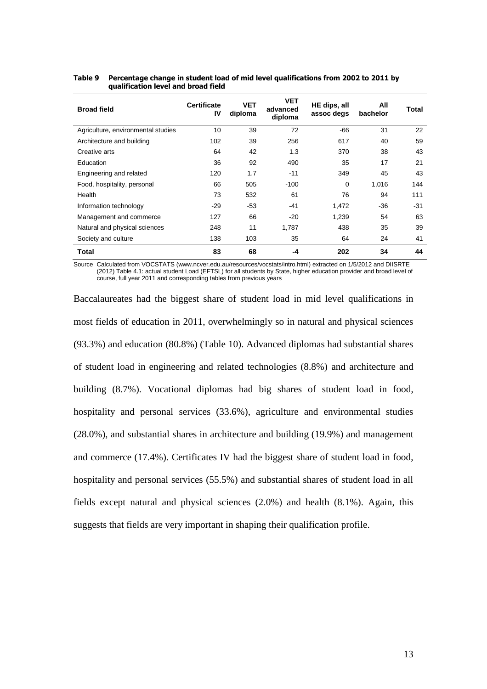| <b>Broad field</b>                 | <b>Certificate</b><br>IV | <b>VET</b><br>diploma | VET<br>advanced<br>diploma | HE dips, all<br>assoc degs | All<br>bachelor | Total |
|------------------------------------|--------------------------|-----------------------|----------------------------|----------------------------|-----------------|-------|
| Agriculture, environmental studies | 10                       | 39                    | 72                         | $-66$                      | 31              | 22    |
| Architecture and building          | 102                      | 39                    | 256                        | 617                        | 40              | 59    |
| Creative arts                      | 64                       | 42                    | 1.3                        | 370                        | 38              | 43    |
| Education                          | 36                       | 92                    | 490                        | 35                         | 17              | 21    |
| Engineering and related            | 120                      | 1.7                   | $-11$                      | 349                        | 45              | 43    |
| Food, hospitality, personal        | 66                       | 505                   | $-100$                     | $\Omega$                   | 1,016           | 144   |
| Health                             | 73                       | 532                   | 61                         | 76                         | 94              | 111   |
| Information technology             | $-29$                    | $-53$                 | $-41$                      | 1,472                      | $-36$           | $-31$ |
| Management and commerce            | 127                      | 66                    | -20                        | 1,239                      | 54              | 63    |
| Natural and physical sciences      | 248                      | 11                    | 1,787                      | 438                        | 35              | 39    |
| Society and culture                | 138                      | 103                   | 35                         | 64                         | 24              | 41    |
| Total                              | 83                       | 68                    | -4                         | 202                        | 34              | 44    |

#### **Table 9 Percentage change in student load of mid level qualifications from 2002 to 2011 by qualification level and broad field**

Source Calculated from VOCSTATS [\(www.ncver.edu.au/resources/vocstats/intro.html\)](http://www.ncver.edu.au/resources/vocstats/intro.html) extracted on 1/5/2012 and DIISRTE (2012) Table 4.1: actual student Load (EFTSL) for all students by State, higher education provider and broad level of course, full year 2011 and corresponding tables from previous years

Baccalaureates had the biggest share of student load in mid level qualifications in most fields of education in 2011, overwhelmingly so in natural and physical sciences (93.3%) and education (80.8%) (Table 10). Advanced diplomas had substantial shares of student load in engineering and related technologies (8.8%) and architecture and building (8.7%). Vocational diplomas had big shares of student load in food, hospitality and personal services (33.6%), agriculture and environmental studies (28.0%), and substantial shares in architecture and building (19.9%) and management and commerce (17.4%). Certificates IV had the biggest share of student load in food, hospitality and personal services (55.5%) and substantial shares of student load in all fields except natural and physical sciences (2.0%) and health (8.1%). Again, this suggests that fields are very important in shaping their qualification profile.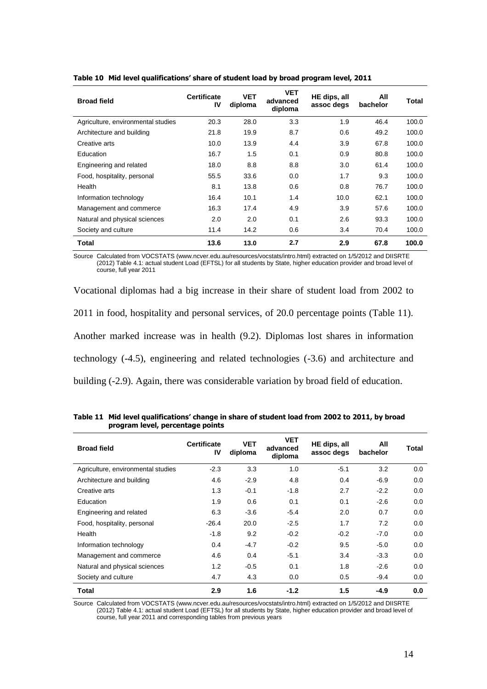| <b>Broad field</b>                 | <b>Certificate</b><br>IV | <b>VET</b><br>diploma | <b>VET</b><br>advanced<br>diploma | HE dips, all<br>assoc degs | All<br>bachelor | Total |
|------------------------------------|--------------------------|-----------------------|-----------------------------------|----------------------------|-----------------|-------|
| Agriculture, environmental studies | 20.3                     | 28.0                  | 3.3                               | 1.9                        | 46.4            | 100.0 |
| Architecture and building          | 21.8                     | 19.9                  | 8.7                               | 0.6                        | 49.2            | 100.0 |
| Creative arts                      | 10.0                     | 13.9                  | 4.4                               | 3.9                        | 67.8            | 100.0 |
| Education                          | 16.7                     | 1.5                   | 0.1                               | 0.9                        | 80.8            | 100.0 |
| Engineering and related            | 18.0                     | 8.8                   | 8.8                               | 3.0                        | 61.4            | 100.0 |
| Food, hospitality, personal        | 55.5                     | 33.6                  | 0.0                               | 1.7                        | 9.3             | 100.0 |
| Health                             | 8.1                      | 13.8                  | 0.6                               | 0.8                        | 76.7            | 100.0 |
| Information technology             | 16.4                     | 10.1                  | 1.4                               | 10.0                       | 62.1            | 100.0 |
| Management and commerce            | 16.3                     | 17.4                  | 4.9                               | 3.9                        | 57.6            | 100.0 |
| Natural and physical sciences      | 2.0                      | 2.0                   | 0.1                               | 2.6                        | 93.3            | 100.0 |
| Society and culture                | 11.4                     | 14.2                  | 0.6                               | 3.4                        | 70.4            | 100.0 |
| Total                              | 13.6                     | 13.0                  | 2.7                               | 2.9                        | 67.8            | 100.0 |

**Table 10 Mid level qualifications' share of student load by broad program level, 2011**

Source Calculated from VOCSTATS [\(www.ncver.edu.au/resources/vocstats/intro.html\)](http://www.ncver.edu.au/resources/vocstats/intro.html) extracted on 1/5/2012 and DIISRTE (2012) Table 4.1: actual student Load (EFTSL) for all students by State, higher education provider and broad level of course, full year 2011

Vocational diplomas had a big increase in their share of student load from 2002 to 2011 in food, hospitality and personal services, of 20.0 percentage points (Table 11). Another marked increase was in health (9.2). Diplomas lost shares in information technology (-4.5), engineering and related technologies (-3.6) and architecture and building (-2.9). Again, there was considerable variation by broad field of education.

| <b>Broad field</b>                 | <b>Certificate</b><br>IV | <b>VET</b><br>diploma | <b>VET</b><br>advanced<br>diploma | HE dips, all<br>assoc degs | All<br>bachelor | Total |
|------------------------------------|--------------------------|-----------------------|-----------------------------------|----------------------------|-----------------|-------|
| Agriculture, environmental studies | $-2.3$                   | 3.3                   | 1.0                               | $-5.1$                     | 3.2             | 0.0   |
| Architecture and building          | 4.6                      | $-2.9$                | 4.8                               | 0.4                        | $-6.9$          | 0.0   |
| Creative arts                      | 1.3                      | $-0.1$                | $-1.8$                            | 2.7                        | $-2.2$          | 0.0   |
| Education                          | 1.9                      | 0.6                   | 0.1                               | 0.1                        | $-2.6$          | 0.0   |
| Engineering and related            | 6.3                      | $-3.6$                | $-5.4$                            | 2.0                        | 0.7             | 0.0   |
| Food, hospitality, personal        | $-26.4$                  | 20.0                  | $-2.5$                            | 1.7                        | 7.2             | 0.0   |
| Health                             | $-1.8$                   | 9.2                   | $-0.2$                            | $-0.2$                     | $-7.0$          | 0.0   |
| Information technology             | 0.4                      | $-4.7$                | $-0.2$                            | 9.5                        | $-5.0$          | 0.0   |
| Management and commerce            | 4.6                      | 0.4                   | $-5.1$                            | 3.4                        | $-3.3$          | 0.0   |
| Natural and physical sciences      | 1.2                      | $-0.5$                | 0.1                               | 1.8                        | $-2.6$          | 0.0   |
| Society and culture                | 4.7                      | 4.3                   | 0.0                               | 0.5                        | $-9.4$          | 0.0   |
| Total                              | 2.9                      | 1.6                   | $-1.2$                            | 1.5                        | $-4.9$          | 0.0   |

**Table 11 Mid level qualifications' change in share of student load from 2002 to 2011, by broad program level, percentage points**

Source Calculated from VOCSTATS [\(www.ncver.edu.au/resources/vocstats/intro.html\)](http://www.ncver.edu.au/resources/vocstats/intro.html) extracted on 1/5/2012 and DIISRTE (2012) Table 4.1: actual student Load (EFTSL) for all students by State, higher education provider and broad level of course, full year 2011 and corresponding tables from previous years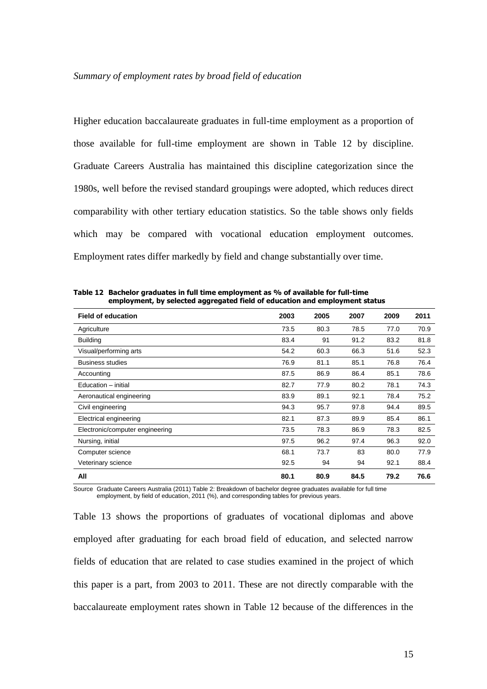Higher education baccalaureate graduates in full-time employment as a proportion of those available for full-time employment are shown in Table 12 by discipline. Graduate Careers Australia has maintained this discipline categorization since the 1980s, well before the revised standard groupings were adopted, which reduces direct comparability with other tertiary education statistics. So the table shows only fields which may be compared with vocational education employment outcomes. Employment rates differ markedly by field and change substantially over time.

| <b>Field of education</b>       | 2003 | 2005 | 2007 | 2009 | 2011 |
|---------------------------------|------|------|------|------|------|
| Agriculture                     | 73.5 | 80.3 | 78.5 | 77.0 | 70.9 |
| <b>Building</b>                 | 83.4 | 91   | 91.2 | 83.2 | 81.8 |
| Visual/performing arts          | 54.2 | 60.3 | 66.3 | 51.6 | 52.3 |
| <b>Business studies</b>         | 76.9 | 81.1 | 85.1 | 76.8 | 76.4 |
| Accounting                      | 87.5 | 86.9 | 86.4 | 85.1 | 78.6 |
| Education - initial             | 82.7 | 77.9 | 80.2 | 78.1 | 74.3 |
| Aeronautical engineering        | 83.9 | 89.1 | 92.1 | 78.4 | 75.2 |
| Civil engineering               | 94.3 | 95.7 | 97.8 | 94.4 | 89.5 |
| Electrical engineering          | 82.1 | 87.3 | 89.9 | 85.4 | 86.1 |
| Electronic/computer engineering | 73.5 | 78.3 | 86.9 | 78.3 | 82.5 |
| Nursing, initial                | 97.5 | 96.2 | 97.4 | 96.3 | 92.0 |
| Computer science                | 68.1 | 73.7 | 83   | 80.0 | 77.9 |
| Veterinary science              | 92.5 | 94   | 94   | 92.1 | 88.4 |
| All                             | 80.1 | 80.9 | 84.5 | 79.2 | 76.6 |

**Table 12 Bachelor graduates in full time employment as % of available for full-time employment, by selected aggregated field of education and employment status**

Source Graduate Careers Australia (2011) Table 2: Breakdown of bachelor degree graduates available for full time employment, by field of education, 2011 (%), and corresponding tables for previous years.

Table 13 shows the proportions of graduates of vocational diplomas and above employed after graduating for each broad field of education, and selected narrow fields of education that are related to case studies examined in the project of which this paper is a part, from 2003 to 2011. These are not directly comparable with the baccalaureate employment rates shown in Table 12 because of the differences in the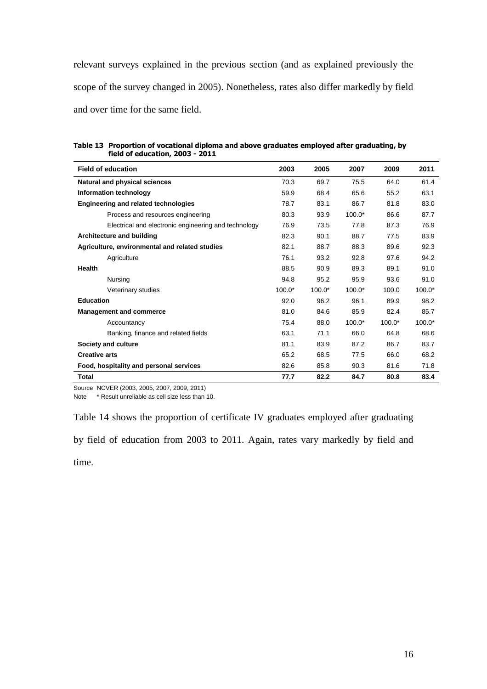relevant surveys explained in the previous section (and as explained previously the scope of the survey changed in 2005). Nonetheless, rates also differ markedly by field and over time for the same field.

**Table 13 Proportion of vocational diploma and above graduates employed after graduating, by field of education, 2003 - 2011**

| <b>Field of education</b>                            | 2003     | 2005     | 2007     | 2009     | 2011     |
|------------------------------------------------------|----------|----------|----------|----------|----------|
| Natural and physical sciences                        | 70.3     | 69.7     | 75.5     | 64.0     | 61.4     |
| Information technology                               | 59.9     | 68.4     | 65.6     | 55.2     | 63.1     |
| <b>Engineering and related technologies</b>          | 78.7     | 83.1     | 86.7     | 81.8     | 83.0     |
| Process and resources engineering                    | 80.3     | 93.9     | $100.0*$ | 86.6     | 87.7     |
| Electrical and electronic engineering and technology | 76.9     | 73.5     | 77.8     | 87.3     | 76.9     |
| Architecture and building                            | 82.3     | 90.1     | 88.7     | 77.5     | 83.9     |
| Agriculture, environmental and related studies       | 82.1     | 88.7     | 88.3     | 89.6     | 92.3     |
| Agriculture                                          | 76.1     | 93.2     | 92.8     | 97.6     | 94.2     |
| Health                                               | 88.5     | 90.9     | 89.3     | 89.1     | 91.0     |
| Nursing                                              | 94.8     | 95.2     | 95.9     | 93.6     | 91.0     |
| Veterinary studies                                   | $100.0*$ | $100.0*$ | $100.0*$ | 100.0    | $100.0*$ |
| <b>Education</b>                                     | 92.0     | 96.2     | 96.1     | 89.9     | 98.2     |
| <b>Management and commerce</b>                       | 81.0     | 84.6     | 85.9     | 82.4     | 85.7     |
| Accountancy                                          | 75.4     | 88.0     | $100.0*$ | $100.0*$ | $100.0*$ |
| Banking, finance and related fields                  | 63.1     | 71.1     | 66.0     | 64.8     | 68.6     |
| Society and culture                                  | 81.1     | 83.9     | 87.2     | 86.7     | 83.7     |
| <b>Creative arts</b>                                 | 65.2     | 68.5     | 77.5     | 66.0     | 68.2     |
| Food, hospitality and personal services              | 82.6     | 85.8     | 90.3     | 81.6     | 71.8     |
| <b>Total</b>                                         | 77.7     | 82.2     | 84.7     | 80.8     | 83.4     |

Source NCVER (2003, 2005, 2007, 2009, 2011)

Note \* Result unreliable as cell size less than 10.

Table 14 shows the proportion of certificate IV graduates employed after graduating

by field of education from 2003 to 2011. Again, rates vary markedly by field and

time.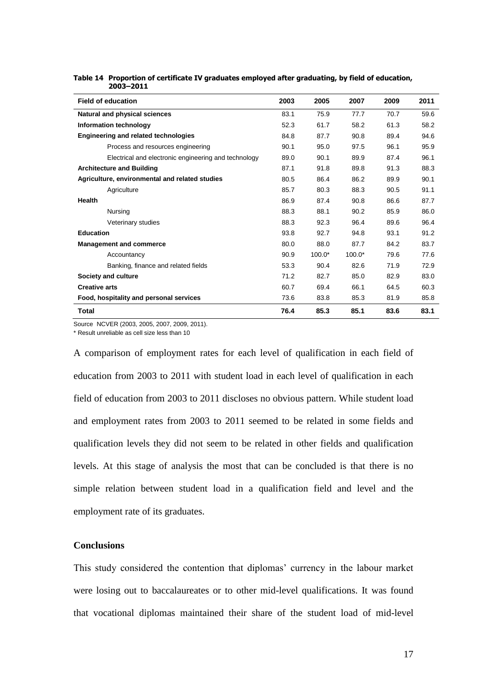| <b>Field of education</b>                            | 2003 | 2005     | 2007     | 2009 | 2011 |
|------------------------------------------------------|------|----------|----------|------|------|
| Natural and physical sciences                        | 83.1 | 75.9     | 77.7     | 70.7 | 59.6 |
| Information technology                               | 52.3 | 61.7     | 58.2     | 61.3 | 58.2 |
| <b>Engineering and related technologies</b>          | 84.8 | 87.7     | 90.8     | 89.4 | 94.6 |
| Process and resources engineering                    | 90.1 | 95.0     | 97.5     | 96.1 | 95.9 |
| Electrical and electronic engineering and technology | 89.0 | 90.1     | 89.9     | 87.4 | 96.1 |
| <b>Architecture and Building</b>                     | 87.1 | 91.8     | 89.8     | 91.3 | 88.3 |
| Agriculture, environmental and related studies       | 80.5 | 86.4     | 86.2     | 89.9 | 90.1 |
| Agriculture                                          | 85.7 | 80.3     | 88.3     | 90.5 | 91.1 |
| <b>Health</b>                                        | 86.9 | 87.4     | 90.8     | 86.6 | 87.7 |
| Nursing                                              | 88.3 | 88.1     | 90.2     | 85.9 | 86.0 |
| Veterinary studies                                   | 88.3 | 92.3     | 96.4     | 89.6 | 96.4 |
| <b>Education</b>                                     | 93.8 | 92.7     | 94.8     | 93.1 | 91.2 |
| <b>Management and commerce</b>                       | 80.0 | 88.0     | 87.7     | 84.2 | 83.7 |
| Accountancy                                          | 90.9 | $100.0*$ | $100.0*$ | 79.6 | 77.6 |
| Banking, finance and related fields                  | 53.3 | 90.4     | 82.6     | 71.9 | 72.9 |
| Society and culture                                  | 71.2 | 82.7     | 85.0     | 82.9 | 83.0 |
| <b>Creative arts</b>                                 | 60.7 | 69.4     | 66.1     | 64.5 | 60.3 |
| Food, hospitality and personal services              | 73.6 | 83.8     | 85.3     | 81.9 | 85.8 |
| <b>Total</b>                                         | 76.4 | 85.3     | 85.1     | 83.6 | 83.1 |

#### **Table 14 Proportion of certificate IV graduates employed after graduating, by field of education, 2003–2011**

Source NCVER (2003, 2005, 2007, 2009, 2011).

\* Result unreliable as cell size less than 10

A comparison of employment rates for each level of qualification in each field of education from 2003 to 2011 with student load in each level of qualification in each field of education from 2003 to 2011 discloses no obvious pattern. While student load and employment rates from 2003 to 2011 seemed to be related in some fields and qualification levels they did not seem to be related in other fields and qualification levels. At this stage of analysis the most that can be concluded is that there is no simple relation between student load in a qualification field and level and the employment rate of its graduates.

# **Conclusions**

This study considered the contention that diplomas' currency in the labour market were losing out to baccalaureates or to other mid-level qualifications. It was found that vocational diplomas maintained their share of the student load of mid-level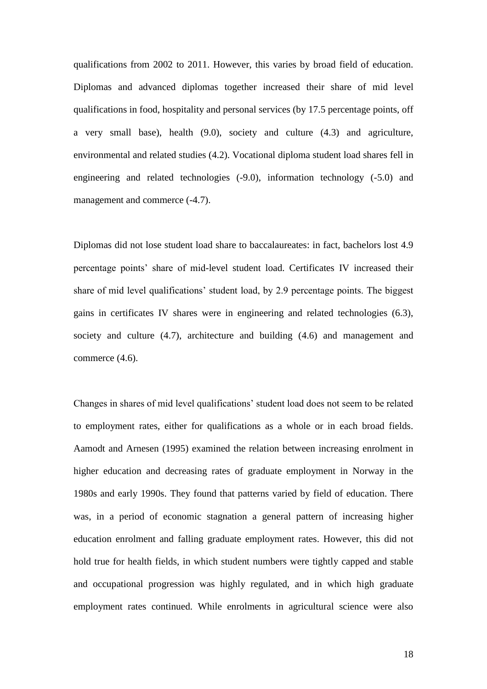qualifications from 2002 to 2011. However, this varies by broad field of education. Diplomas and advanced diplomas together increased their share of mid level qualifications in food, hospitality and personal services (by 17.5 percentage points, off a very small base), health (9.0), society and culture (4.3) and agriculture, environmental and related studies (4.2). Vocational diploma student load shares fell in engineering and related technologies (-9.0), information technology (-5.0) and management and commerce  $(-4.7)$ .

Diplomas did not lose student load share to baccalaureates: in fact, bachelors lost 4.9 percentage points' share of mid-level student load. Certificates IV increased their share of mid level qualifications' student load, by 2.9 percentage points. The biggest gains in certificates IV shares were in engineering and related technologies (6.3), society and culture (4.7), architecture and building (4.6) and management and commerce (4.6).

Changes in shares of mid level qualifications' student load does not seem to be related to employment rates, either for qualifications as a whole or in each broad fields. Aamodt and Arnesen (1995) examined the relation between increasing enrolment in higher education and decreasing rates of graduate employment in Norway in the 1980s and early 1990s. They found that patterns varied by field of education. There was, in a period of economic stagnation a general pattern of increasing higher education enrolment and falling graduate employment rates. However, this did not hold true for health fields, in which student numbers were tightly capped and stable and occupational progression was highly regulated, and in which high graduate employment rates continued. While enrolments in agricultural science were also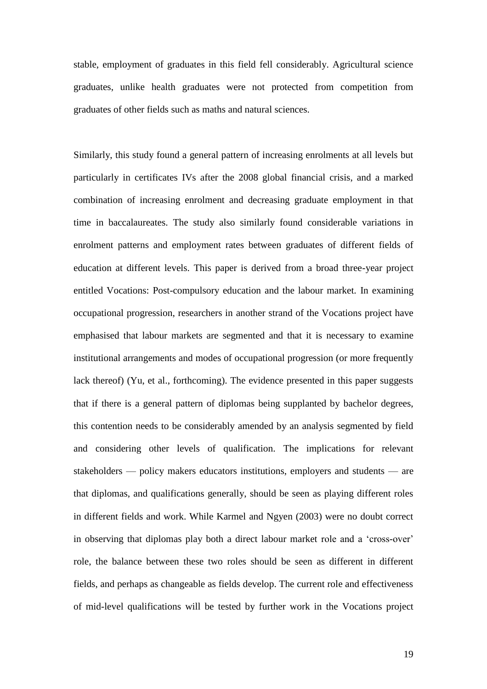stable, employment of graduates in this field fell considerably. Agricultural science graduates, unlike health graduates were not protected from competition from graduates of other fields such as maths and natural sciences.

Similarly, this study found a general pattern of increasing enrolments at all levels but particularly in certificates IVs after the 2008 global financial crisis, and a marked combination of increasing enrolment and decreasing graduate employment in that time in baccalaureates. The study also similarly found considerable variations in enrolment patterns and employment rates between graduates of different fields of education at different levels. This paper is derived from a broad three-year project entitled Vocations: Post-compulsory education and the labour market. In examining occupational progression, researchers in another strand of the Vocations project have emphasised that labour markets are segmented and that it is necessary to examine institutional arrangements and modes of occupational progression (or more frequently lack thereof) (Yu, et al., forthcoming). The evidence presented in this paper suggests that if there is a general pattern of diplomas being supplanted by bachelor degrees, this contention needs to be considerably amended by an analysis segmented by field and considering other levels of qualification. The implications for relevant stakeholders — policy makers educators institutions, employers and students — are that diplomas, and qualifications generally, should be seen as playing different roles in different fields and work. While Karmel and Ngyen (2003) were no doubt correct in observing that diplomas play both a direct labour market role and a 'cross-over' role, the balance between these two roles should be seen as different in different fields, and perhaps as changeable as fields develop. The current role and effectiveness of mid-level qualifications will be tested by further work in the Vocations project